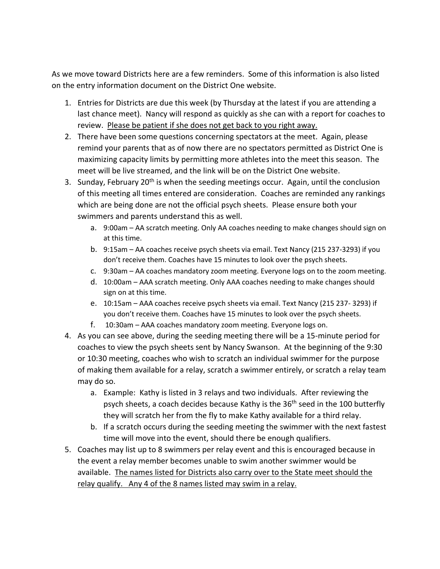As we move toward Districts here are a few reminders. Some of this information is also listed on the entry information document on the District One website.

- 1. Entries for Districts are due this week (by Thursday at the latest if you are attending a last chance meet). Nancy will respond as quickly as she can with a report for coaches to review. Please be patient if she does not get back to you right away.
- 2. There have been some questions concerning spectators at the meet. Again, please remind your parents that as of now there are no spectators permitted as District One is maximizing capacity limits by permitting more athletes into the meet this season. The meet will be live streamed, and the link will be on the District One website.
- 3. Sunday, February 20<sup>th</sup> is when the seeding meetings occur. Again, until the conclusion of this meeting all times entered are consideration. Coaches are reminded any rankings which are being done are not the official psych sheets. Please ensure both your swimmers and parents understand this as well.
	- a. 9:00am AA scratch meeting. Only AA coaches needing to make changes should sign on at this time.
	- b. 9:15am AA coaches receive psych sheets via email. Text Nancy (215 237-3293) if you don't receive them. Coaches have 15 minutes to look over the psych sheets.
	- c. 9:30am AA coaches mandatory zoom meeting. Everyone logs on to the zoom meeting.
	- d. 10:00am AAA scratch meeting. Only AAA coaches needing to make changes should sign on at this time.
	- e. 10:15am AAA coaches receive psych sheets via email. Text Nancy (215 237- 3293) if you don't receive them. Coaches have 15 minutes to look over the psych sheets.
	- f. 10:30am AAA coaches mandatory zoom meeting. Everyone logs on.
- 4. As you can see above, during the seeding meeting there will be a 15-minute period for coaches to view the psych sheets sent by Nancy Swanson. At the beginning of the 9:30 or 10:30 meeting, coaches who wish to scratch an individual swimmer for the purpose of making them available for a relay, scratch a swimmer entirely, or scratch a relay team may do so.
	- a. Example: Kathy is listed in 3 relays and two individuals. After reviewing the psych sheets, a coach decides because Kathy is the 36th seed in the 100 butterfly they will scratch her from the fly to make Kathy available for a third relay.
	- b. If a scratch occurs during the seeding meeting the swimmer with the next fastest time will move into the event, should there be enough qualifiers.
- 5. Coaches may list up to 8 swimmers per relay event and this is encouraged because in the event a relay member becomes unable to swim another swimmer would be available. The names listed for Districts also carry over to the State meet should the relay qualify. Any 4 of the 8 names listed may swim in a relay.